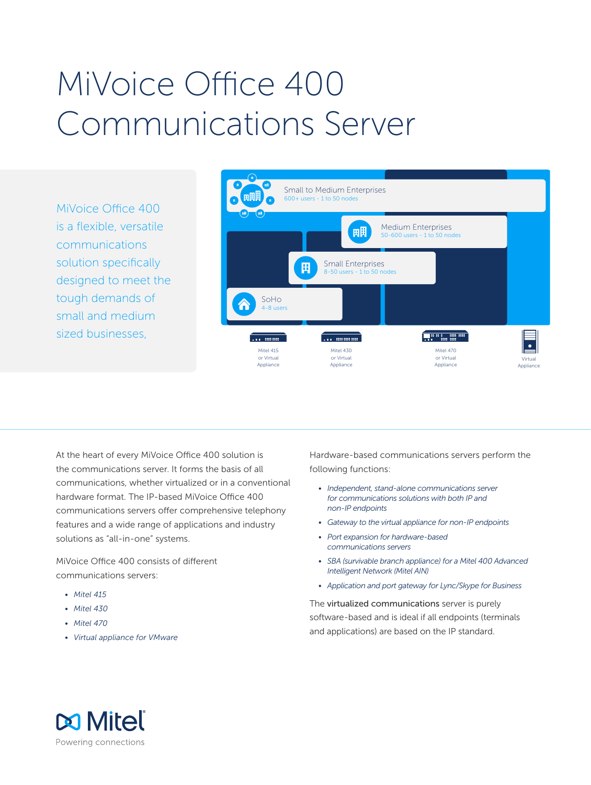# MiVoice Office 400 Communications Server

MiVoice Office 400 is a flexible, versatile communications solution specifically designed to meet the tough demands of small and medium sized businesses,



At the heart of every MiVoice Office 400 solution is the communications server. It forms the basis of all communications, whether virtualized or in a conventional hardware format. The IP-based MiVoice Office 400 communications servers offer comprehensive telephony features and a wide range of applications and industry solutions as "all-in-one" systems.

MiVoice Office 400 consists of different communications servers:

- *• Mitel 415*
- *• Mitel 430*
- *• Mitel 470*
- *• Virtual appliance for VMware*

Hardware-based communications servers perform the following functions:

- *• Independent, stand-alone communications server for communications solutions with both IP and non-IP endpoints*
- *• Gateway to the virtual appliance for non-IP endpoints*
- *• Port expansion for hardware-based communications servers*
- *• SBA (survivable branch appliance) for a Mitel 400 Advanced Intelligent Network (Mitel AIN)*
- *• Application and port gateway for Lync/Skype for Business*

The virtualized communications server is purely software-based and is ideal if all endpoints (terminals and applications) are based on the IP standard.

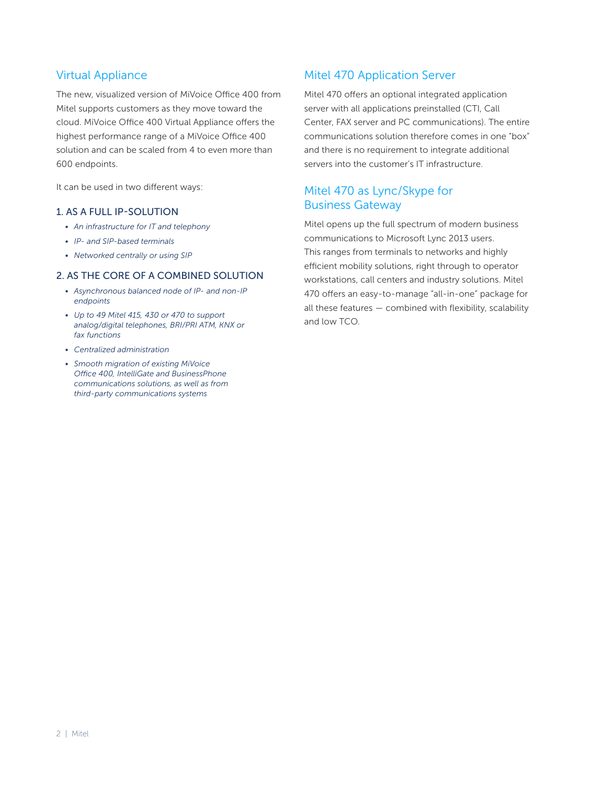# Virtual Appliance

The new, visualized version of MiVoice Office 400 from Mitel supports customers as they move toward the cloud. MiVoice Office 400 Virtual Appliance offers the highest performance range of a MiVoice Office 400 solution and can be scaled from 4 to even more than 600 endpoints.

It can be used in two different ways:

## 1. AS A FULL IP-SOLUTION

- *• An infrastructure for IT and telephony*
- *• IP- and SIP-based terminals*
- *• Networked centrally or using SIP*

## 2. AS THE CORE OF A COMBINED SOLUTION

- *• Asynchronous balanced node of IP- and non-IP endpoints*
- *• Up to 49 Mitel 415, 430 or 470 to support analog/digital telephones, BRI/PRI ATM, KNX or fax functions*
- *• Centralized administration*
- *• Smooth migration of existing MiVoice Office 400, IntelliGate and BusinessPhone communications solutions, as well as from third-party communications systems*

# Mitel 470 Application Server

Mitel 470 offers an optional integrated application server with all applications preinstalled (CTI, Call Center, FAX server and PC communications). The entire communications solution therefore comes in one "box" and there is no requirement to integrate additional servers into the customer's IT infrastructure.

# Mitel 470 as Lync/Skype for Business Gateway

Mitel opens up the full spectrum of modern business communications to Microsoft Lync 2013 users. This ranges from terminals to networks and highly efficient mobility solutions, right through to operator workstations, call centers and industry solutions. Mitel 470 offers an easy-to-manage "all-in-one" package for all these features — combined with flexibility, scalability and low TCO.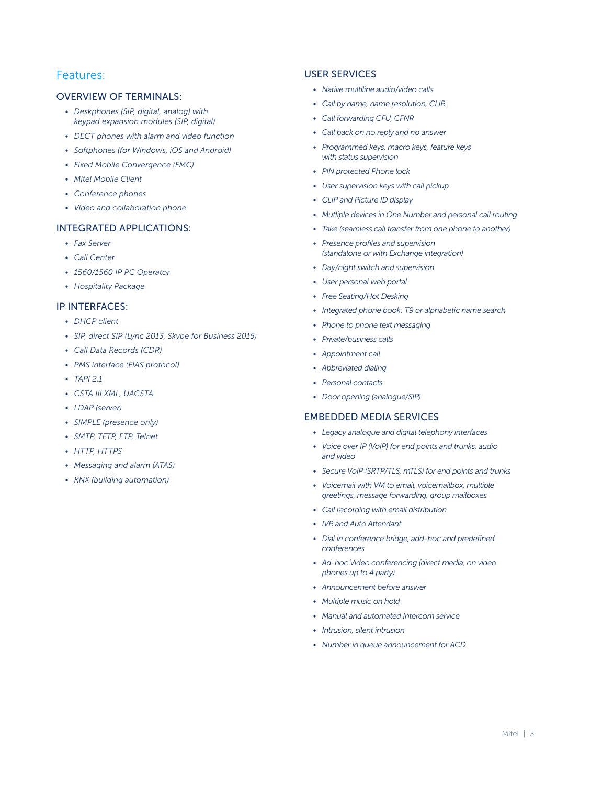# Features:

#### OVERVIEW OF TERMINALS:

- *• Deskphones (SIP, digital, analog) with keypad expansion modules (SIP, digital)*
- *• DECT phones with alarm and video function*
- *• Softphones (for Windows, iOS and Android)*
- *• Fixed Mobile Convergence (FMC)*
- *• Mitel Mobile Client*
- *• Conference phones*
- *• Video and collaboration phone*

#### INTEGRATED APPLICATIONS:

- *• Fax Server*
- *• Call Center*
- *• 1560/1560 IP PC Operator*
- *• Hospitality Package*

#### IP INTERFACES:

- *• DHCP client*
- *• SIP, direct SIP (Lync 2013, Skype for Business 2015)*
- *• Call Data Records (CDR)*
- *• PMS interface (FIAS protocol)*
- *• TAPI 2.1*
- *• CSTA III XML, UACSTA*
- *• LDAP (server)*
- *• SIMPLE (presence only)*
- *• SMTP, TFTP, FTP, Telnet*
- *• HTTP, HTTPS*
- *• Messaging and alarm (ATAS)*
- *• KNX (building automation)*

#### USER SERVICES

- *• Native multiline audio/video calls*
- *• Call by name, name resolution, CLIR*
- *• Call forwarding CFU, CFNR*
- *• Call back on no reply and no answer*
- *• Programmed keys, macro keys, feature keys with status supervision*
- *• PIN protected Phone lock*
- *• User supervision keys with call pickup*
- *• CLIP and Picture ID display*
- *• Mutliple devices in One Number and personal call routing*
- *• Take (seamless call transfer from one phone to another)*
- *• Presence profiles and supervision (standalone or with Exchange integration)*
- *• Day/night switch and supervision*
- *• User personal web portal*
- *• Free Seating/Hot Desking*
- *• Integrated phone book: T9 or alphabetic name search*
- *• Phone to phone text messaging*
- *• Private/business calls*
- *• Appointment call*
- *• Abbreviated dialing*
- *• Personal contacts*
- *• Door opening (analogue/SIP)*

## EMBEDDED MEDIA SERVICES

- *• Legacy analogue and digital telephony interfaces*
- *• Voice over IP (VoIP) for end points and trunks, audio and video*
- *• Secure VoIP (SRTP/TLS, mTLS) for end points and trunks*
- *• Voicemail with VM to email, voicemailbox, multiple greetings, message forwarding, group mailboxes*
- *• Call recording with email distribution*
- *• IVR and Auto Attendant*
- *• Dial in conference bridge, add-hoc and predefined conferences*
- *• Ad-hoc Video conferencing (direct media, on video phones up to 4 party)*
- *• Announcement before answer*
- *• Multiple music on hold*
- *• Manual and automated Intercom service*
- *• Intrusion, silent intrusion*
- *• Number in queue announcement for ACD*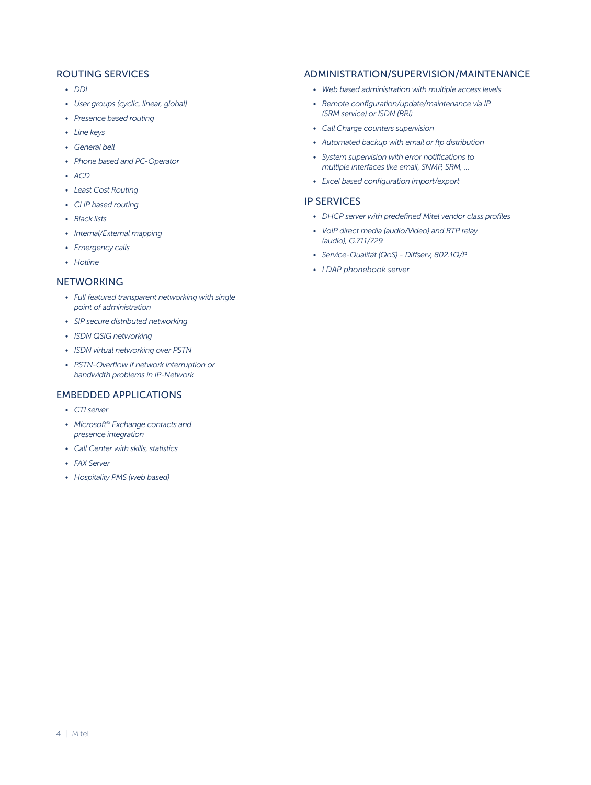## ROUTING SERVICES

- *• DDI*
- *• User groups (cyclic, linear, global)*
- *• Presence based routing*
- *• Line keys*
- *• General bell*
- *• Phone based and PC-Operator*
- *• ACD*
- *• Least Cost Routing*
- *• CLIP based routing*
- *• Black lists*
- *• Internal/External mapping*
- *• Emergency calls*
- *• Hotline*

# **NETWORKING**

- *• Full featured transparent networking with single point of administration*
- *• SIP secure distributed networking*
- *• ISDN QSIG networking*
- *• ISDN virtual networking over PSTN*
- *• PSTN-Overflow if network interruption or bandwidth problems in IP-Network*

## EMBEDDED APPLICATIONS

- *• CTI server*
- *• Microsoft© Exchange contacts and presence integration*
- *• Call Center with skills, statistics*
- *• FAX Server*
- *• Hospitality PMS (web based)*

# ADMINISTRATION/SUPERVISION/MAINTENANCE

- *• Web based administration with multiple access levels*
- *• Remote configuration/update/maintenance via IP (SRM service) or ISDN (BRI)*
- *• Call Charge counters supervision*
- *• Automated backup with email or ftp distribution*
- *• System supervision with error notifications to multiple interfaces like email, SNMP, SRM, …*
- *• Excel based configuration import/export*

#### IP SERVICES

- *• DHCP server with predefined Mitel vendor class profiles*
- *• VoIP direct media (audio/Video) and RTP relay (audio), G.711/729*
- *• Service-Qualität (QoS) Diffserv, 802.1Q/P*
- *• LDAP phonebook server*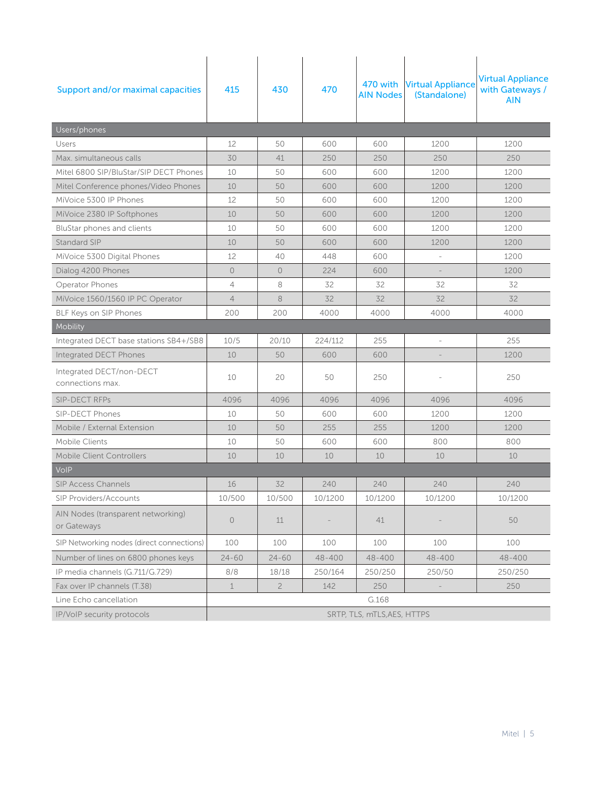| Support and/or maximal capacities                 | 415                         | 430            | 470     | 470 with<br><b>AIN Nodes</b> | <b>Virtual Appliance</b><br>(Standalone) | <b>Virtual Appliance</b><br>with Gateways /<br><b>AIN</b> |  |  |
|---------------------------------------------------|-----------------------------|----------------|---------|------------------------------|------------------------------------------|-----------------------------------------------------------|--|--|
| Users/phones                                      |                             |                |         |                              |                                          |                                                           |  |  |
| Users                                             | 12                          | 50             | 600     | 600                          | 1200                                     | 1200                                                      |  |  |
| Max. simultaneous calls                           | 30                          | 41             | 250     | 250                          | 250                                      | 250                                                       |  |  |
| Mitel 6800 SIP/BluStar/SIP DECT Phones            | 10                          | 50             | 600     | 600                          | 1200                                     | 1200                                                      |  |  |
| Mitel Conference phones/Video Phones              | 10                          | 50             | 600     | 600                          | 1200                                     | 1200                                                      |  |  |
| MiVoice 5300 IP Phones                            | 12                          | 50             | 600     | 600                          | 1200                                     | 1200                                                      |  |  |
| MiVoice 2380 IP Softphones                        | 10                          | 50             | 600     | 600                          | 1200                                     | 1200                                                      |  |  |
| BluStar phones and clients                        | 10                          | 50             | 600     | 600                          | 1200                                     | 1200                                                      |  |  |
| Standard SIP                                      | 10                          | 50             | 600     | 600                          | 1200                                     | 1200                                                      |  |  |
| MiVoice 5300 Digital Phones                       | 12                          | 40             | 448     | 600                          |                                          | 1200                                                      |  |  |
| Dialog 4200 Phones                                | $\circ$                     | $\circ$        | 224     | 600                          |                                          | 1200                                                      |  |  |
| Operator Phones                                   | $\overline{4}$              | 8              | 32      | 32                           | 32                                       | 32                                                        |  |  |
| MiVoice 1560/1560 IP PC Operator                  | $\overline{4}$              | 8              | 32      | 32                           | 32                                       | 32                                                        |  |  |
| BLF Keys on SIP Phones                            | 200                         | 200            | 4000    | 4000                         | 4000                                     | 4000                                                      |  |  |
| Mobility                                          |                             |                |         |                              |                                          |                                                           |  |  |
| Integrated DECT base stations SB4+/SB8            | 10/5                        | 20/10          | 224/112 | 255                          | $\overline{\phantom{a}}$                 | 255                                                       |  |  |
| Integrated DECT Phones                            | 10                          | 50             | 600     | 600                          |                                          | 1200                                                      |  |  |
| Integrated DECT/non-DECT<br>connections max.      | 10                          | 20             | 50      | 250                          |                                          | 250                                                       |  |  |
| <b>SIP-DECT RFPs</b>                              | 4096                        | 4096           | 4096    | 4096                         | 4096                                     | 4096                                                      |  |  |
| <b>SIP-DECT Phones</b>                            | 10                          | 50             | 600     | 600                          | 1200                                     | 1200                                                      |  |  |
| Mobile / External Extension                       | 10                          | 50             | 255     | 255                          | 1200                                     | 1200                                                      |  |  |
| Mobile Clients                                    | 10                          | 50             | 600     | 600                          | 800                                      | 800                                                       |  |  |
| <b>Mobile Client Controllers</b>                  | 10                          | 10             | 10      | 10                           | 10                                       | 10                                                        |  |  |
| Volp                                              |                             |                |         |                              |                                          |                                                           |  |  |
| <b>SIP Access Channels</b>                        | 16                          | 32             | 240     | 240                          | 240                                      | 240                                                       |  |  |
| SIP Providers/Accounts                            | 10/500                      | 10/500         | 10/1200 | 10/1200                      | 10/1200                                  | 10/1200                                                   |  |  |
| AIN Nodes (transparent networking)<br>or Gateways | $\circ$                     | 11             |         | 41                           |                                          | 50                                                        |  |  |
| SIP Networking nodes (direct connections)         | 100                         | 100            | 100     | 100                          | 100                                      | 100                                                       |  |  |
| Number of lines on 6800 phones keys               | $24 - 60$                   | $24 - 60$      | 48-400  | 48-400                       | 48-400                                   | 48-400                                                    |  |  |
| IP media channels (G.711/G.729)                   | 8/8                         | 18/18          | 250/164 | 250/250                      | 250/50                                   | 250/250                                                   |  |  |
| Fax over IP channels (T.38)                       | 1                           | $\overline{2}$ | 142     | 250                          |                                          | 250                                                       |  |  |
| Line Echo cancellation                            | G.168                       |                |         |                              |                                          |                                                           |  |  |
| IP/VoIP security protocols                        | SRTP, TLS, mTLS, AES, HTTPS |                |         |                              |                                          |                                                           |  |  |